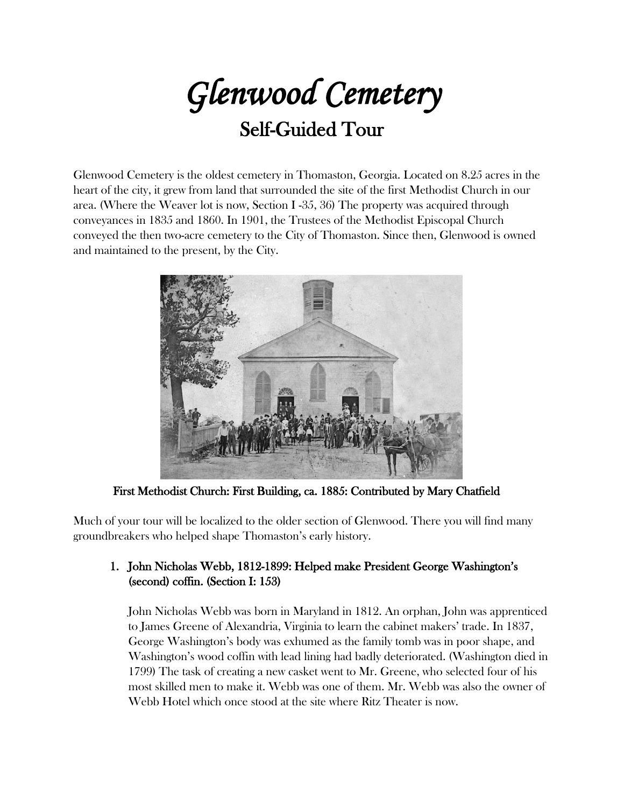*Glenwood Cemetery*

# Self-Guided Tour

Glenwood Cemetery is the oldest cemetery in Thomaston, Georgia. Located on 8.25 acres in the heart of the city, it grew from land that surrounded the site of the first Methodist Church in our area. (Where the Weaver lot is now, Section I -35, 36) The property was acquired through conveyances in 1835 and 1860. In 1901, the Trustees of the Methodist Episcopal Church conveyed the then two-acre cemetery to the City of Thomaston. Since then, Glenwood is owned and maintained to the present, by the City.



First Methodist Church: First Building, ca. 1885: Contributed by Mary Chatfield

Much of your tour will be localized to the older section of Glenwood. There you will find many groundbreakers who helped shape Thomaston's early history.

# 1. John Nicholas Webb, 1812-1899: Helped make President George Washington's (second) coffin. (Section I: 153)

John Nicholas Webb was born in Maryland in 1812. An orphan, John was apprenticed to James Greene of Alexandria, Virginia to learn the cabinet makers' trade. In 1837, George Washington's body was exhumed as the family tomb was in poor shape, and Washington's wood coffin with lead lining had badly deteriorated. (Washington died in 1799) The task of creating a new casket went to Mr. Greene, who selected four of his most skilled men to make it. Webb was one of them. Mr. Webb was also the owner of Webb Hotel which once stood at the site where Ritz Theater is now.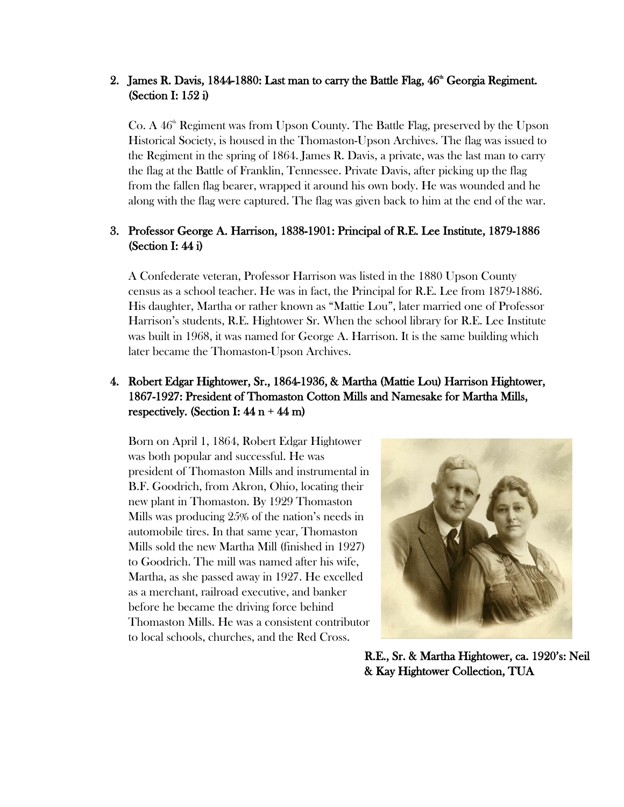## 2. James R. Davis, 1844-1880: Last man to carry the Battle Flag,  $46<sup>th</sup>$  Georgia Regiment. (Section I: 152 i)

Co. A  $46<sup>th</sup>$  Regiment was from Upson County. The Battle Flag, preserved by the Upson Historical Society, is housed in the Thomaston-Upson Archives. The flag was issued to the Regiment in the spring of 1864. James R. Davis, a private, was the last man to carry the flag at the Battle of Franklin, Tennessee. Private Davis, after picking up the flag from the fallen flag bearer, wrapped it around his own body. He was wounded and he along with the flag were captured. The flag was given back to him at the end of the war.

## 3. Professor George A. Harrison, 1838-1901: Principal of R.E. Lee Institute, 1879-1886 (Section I: 44 i)

A Confederate veteran, Professor Harrison was listed in the 1880 Upson County census as a school teacher. He was in fact, the Principal for R.E. Lee from 1879-1886. His daughter, Martha or rather known as "Mattie Lou", later married one of Professor Harrison's students, R.E. Hightower Sr. When the school library for R.E. Lee Institute was built in 1968, it was named for George A. Harrison. It is the same building which later became the Thomaston-Upson Archives.

# 4. Robert Edgar Hightower, Sr., 1864-1936, & Martha (Mattie Lou) Harrison Hightower, 1867-1927: President of Thomaston Cotton Mills and Namesake for Martha Mills, respectively. (Section I:  $44 n + 44 m$ )

Born on April 1, 1864, Robert Edgar Hightower was both popular and successful. He was president of Thomaston Mills and instrumental in B.F. Goodrich, from Akron, Ohio, locating their new plant in Thomaston. By 1929 Thomaston Mills was producing 25% of the nation's needs in automobile tires. In that same year, Thomaston Mills sold the new Martha Mill (finished in 1927) to Goodrich. The mill was named after his wife, Martha, as she passed away in 1927. He excelled as a merchant, railroad executive, and banker before he became the driving force behind Thomaston Mills. He was a consistent contributor to local schools, churches, and the Red Cross.



R.E., Sr. & Martha Hightower, ca. 1920's: Neil & Kay Hightower Collection, TUA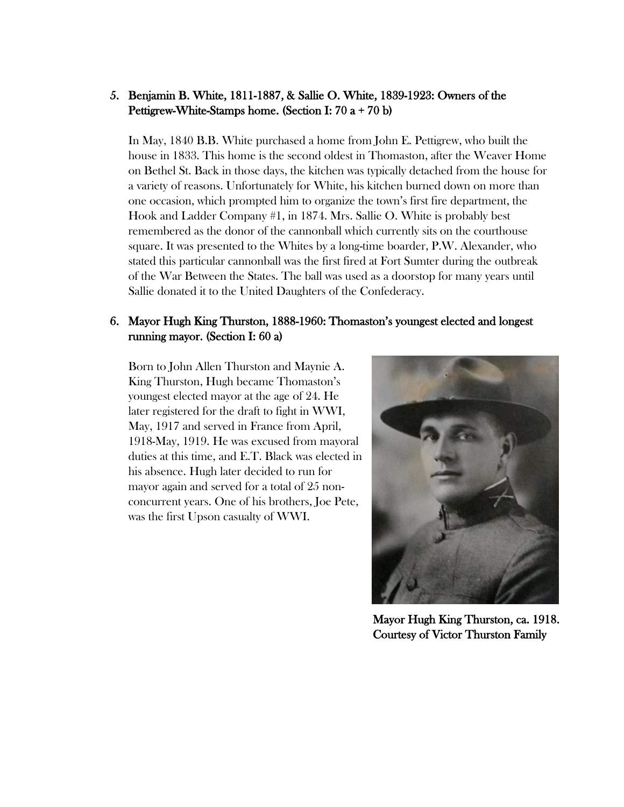## 5. Benjamin B. White, 1811-1887, & Sallie O. White, 1839-1923: Owners of the Pettigrew-White-Stamps home. (Section I: 70 a + 70 b)

In May, 1840 B.B. White purchased a home from John E. Pettigrew, who built the house in 1833. This home is the second oldest in Thomaston, after the Weaver Home on Bethel St. Back in those days, the kitchen was typically detached from the house for a variety of reasons. Unfortunately for White, his kitchen burned down on more than one occasion, which prompted him to organize the town's first fire department, the Hook and Ladder Company #1, in 1874. Mrs. Sallie O. White is probably best remembered as the donor of the cannonball which currently sits on the courthouse square. It was presented to the Whites by a long-time boarder, P.W. Alexander, who stated this particular cannonball was the first fired at Fort Sumter during the outbreak of the War Between the States. The ball was used as a doorstop for many years until Sallie donated it to the United Daughters of the Confederacy.

## 6. Mayor Hugh King Thurston, 1888-1960: Thomaston's youngest elected and longest running mayor. (Section I: 60 a)

Born to John Allen Thurston and Maynie A. King Thurston, Hugh became Thomaston's youngest elected mayor at the age of 24. He later registered for the draft to fight in WWI, May, 1917 and served in France from April, 1918-May, 1919. He was excused from mayoral duties at this time, and E.T. Black was elected in his absence. Hugh later decided to run for mayor again and served for a total of 25 nonconcurrent years. One of his brothers, Joe Pete, was the first Upson casualty of WWI.



Mayor Hugh King Thurston, ca. 1918. Courtesy of Victor Thurston Family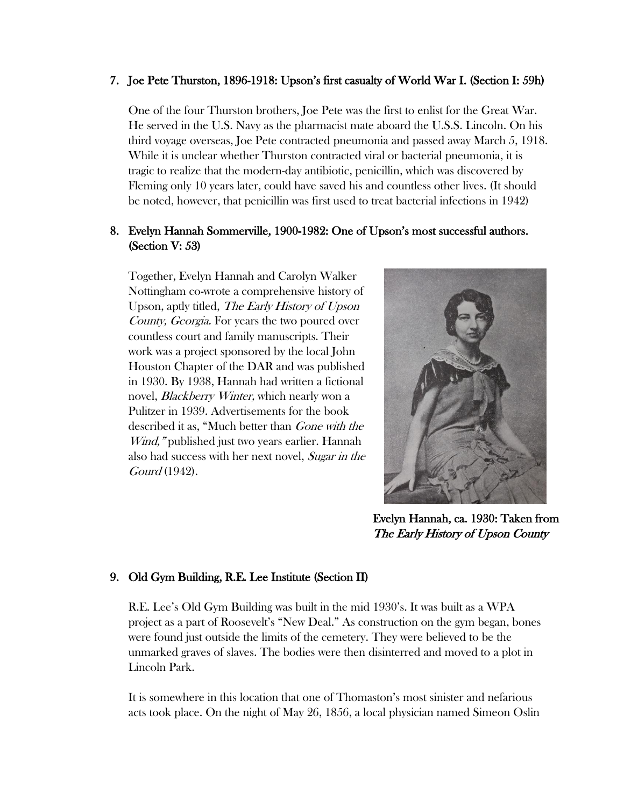#### 7. Joe Pete Thurston, 1896-1918: Upson's first casualty of World War I. (Section I: 59h)

One of the four Thurston brothers, Joe Pete was the first to enlist for the Great War. He served in the U.S. Navy as the pharmacist mate aboard the U.S.S. Lincoln. On his third voyage overseas, Joe Pete contracted pneumonia and passed away March 5, 1918. While it is unclear whether Thurston contracted viral or bacterial pneumonia, it is tragic to realize that the modern-day antibiotic, penicillin, which was discovered by Fleming only 10 years later, could have saved his and countless other lives. (It should be noted, however, that penicillin was first used to treat bacterial infections in 1942)

## 8. Evelyn Hannah Sommerville, 1900-1982: One of Upson's most successful authors. (Section V: 53)

Together, Evelyn Hannah and Carolyn Walker Nottingham co-wrote a comprehensive history of Upson, aptly titled, The Early History of Upson County, Georgia. For years the two poured over countless court and family manuscripts. Their work was a project sponsored by the local John Houston Chapter of the DAR and was published in 1930. By 1938, Hannah had written a fictional novel, *Blackberry Winter*, which nearly won a Pulitzer in 1939. Advertisements for the book described it as, "Much better than Gone with the Wind," published just two years earlier. Hannah also had success with her next novel, Sugar in the Gourd (1942).



Evelyn Hannah, ca. 1930: Taken from The Early History of Upson County

## 9. Old Gym Building, R.E. Lee Institute (Section II)

R.E. Lee's Old Gym Building was built in the mid 1930's. It was built as a WPA project as a part of Roosevelt's "New Deal." As construction on the gym began, bones were found just outside the limits of the cemetery. They were believed to be the unmarked graves of slaves. The bodies were then disinterred and moved to a plot in Lincoln Park.

It is somewhere in this location that one of Thomaston's most sinister and nefarious acts took place. On the night of May 26, 1856, a local physician named Simeon Oslin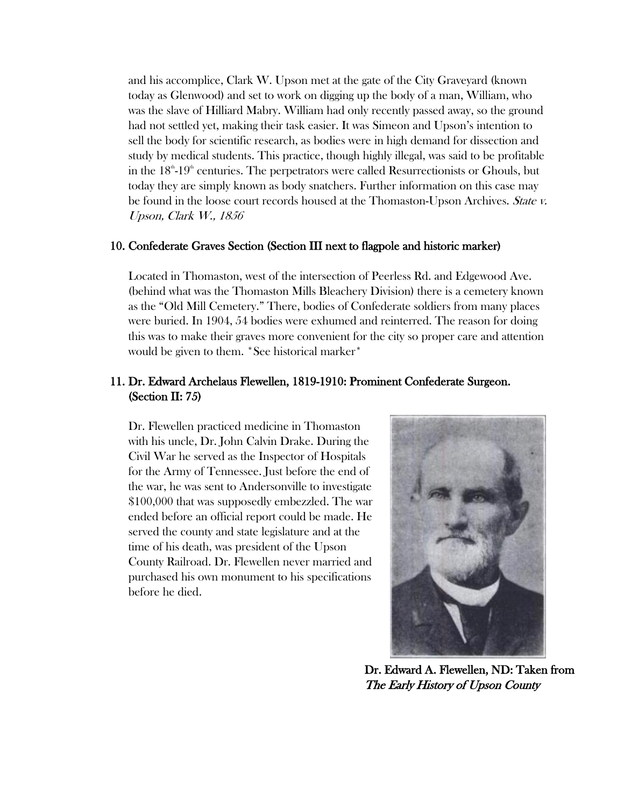and his accomplice, Clark W. Upson met at the gate of the City Graveyard (known today as Glenwood) and set to work on digging up the body of a man, William, who was the slave of Hilliard Mabry. William had only recently passed away, so the ground had not settled yet, making their task easier. It was Simeon and Upson's intention to sell the body for scientific research, as bodies were in high demand for dissection and study by medical students. This practice, though highly illegal, was said to be profitable in the  $18<sup>th</sup>$ -19<sup>th</sup> centuries. The perpetrators were called Resurrectionists or Ghouls, but today they are simply known as body snatchers. Further information on this case may be found in the loose court records housed at the Thomaston-Upson Archives. State v. Upson, Clark W., 1856

#### 10. Confederate Graves Section (Section III next to flagpole and historic marker)

Located in Thomaston, west of the intersection of Peerless Rd. and Edgewood Ave. (behind what was the Thomaston Mills Bleachery Division) there is a cemetery known as the "Old Mill Cemetery." There, bodies of Confederate soldiers from many places were buried. In 1904, 54 bodies were exhumed and reinterred. The reason for doing this was to make their graves more convenient for the city so proper care and attention would be given to them. \*See historical marker\*

## 11. Dr. Edward Archelaus Flewellen, 1819-1910: Prominent Confederate Surgeon. (Section II: 75)

Dr. Flewellen practiced medicine in Thomaston with his uncle, Dr. John Calvin Drake. During the Civil War he served as the Inspector of Hospitals for the Army of Tennessee. Just before the end of the war, he was sent to Andersonville to investigate \$100,000 that was supposedly embezzled. The war ended before an official report could be made. He served the county and state legislature and at the time of his death, was president of the Upson County Railroad. Dr. Flewellen never married and purchased his own monument to his specifications before he died.



Dr. Edward A. Flewellen, ND: Taken from The Early History of Upson County